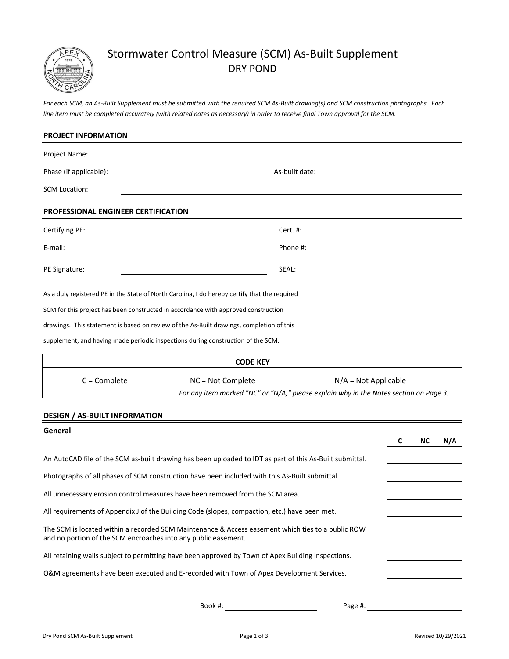

## Stormwater Control Measure (SCM) As-Built Supplement DRY POND

*For each SCM, an As-Built Supplement must be submitted with the required SCM As-Built drawing(s) and SCM construction photographs. Each line item must be completed accurately (with related notes as necessary) in order to receive final Town approval for the SCM.*

| PROJECT INFORMATION                 |                                                                                               |                                                                                       |
|-------------------------------------|-----------------------------------------------------------------------------------------------|---------------------------------------------------------------------------------------|
| Project Name:                       |                                                                                               |                                                                                       |
| Phase (if applicable):              | As-built date:                                                                                |                                                                                       |
| <b>SCM Location:</b>                |                                                                                               |                                                                                       |
| PROFESSIONAL ENGINEER CERTIFICATION |                                                                                               |                                                                                       |
| Certifying PE:                      | Cert. #:                                                                                      |                                                                                       |
| E-mail:                             | Phone #:                                                                                      |                                                                                       |
| PE Signature:                       | SEAL:                                                                                         |                                                                                       |
|                                     | As a duly registered PE in the State of North Carolina, I do hereby certify that the required |                                                                                       |
|                                     | SCM for this project has been constructed in accordance with approved construction            |                                                                                       |
|                                     | drawings. This statement is based on review of the As-Built drawings, completion of this      |                                                                                       |
|                                     | supplement, and having made periodic inspections during construction of the SCM.              |                                                                                       |
|                                     | <b>CODE KEY</b>                                                                               |                                                                                       |
| $C =$ Complete                      | NC = Not Complete                                                                             | $N/A = Not Applicable$                                                                |
|                                     |                                                                                               | For any item marked "NC" or "N/A," please explain why in the Notes section on Page 3. |

## **DESIGN / AS-BUILT INFORMATION**

# **C NC N/A** All retaining walls subject to permitting have been approved by Town of Apex Building Inspections. An AutoCAD file of the SCM as-built drawing has been uploaded to IDT as part of this As-Built submittal. The SCM is located within a recorded SCM Maintenance & Access easement which ties to a public ROW All unnecessary erosion control measures have been removed from the SCM area. **General** O&M agreements have been executed and E-recorded with Town of Apex Development Services. and no portion of the SCM encroaches into any public easement. Photographs of all phases of SCM construction have been included with this As-Built submittal. All requirements of Appendix J of the Building Code (slopes, compaction, etc.) have been met.

Book #: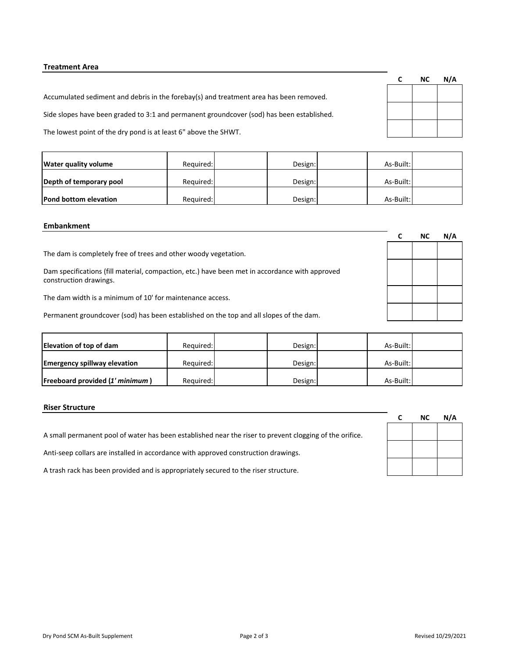## **Treatment Area**

Accumulated sediment and debris in the forebay(s) and treatment area has been removed.

Side slopes have been graded to 3:1 and permanent groundcover (sod) has been established.

The lowest point of the dry pond is at least 6" above the SHWT.

| <b>Water quality volume</b> | Required: | Design: | As-Built: |  |
|-----------------------------|-----------|---------|-----------|--|
| Depth of temporary pool     | Required: | Design: | As-Built: |  |
| Pond bottom elevation       | Required: | Design: | As-Built: |  |

#### **Embankment**

|                                                                                                                          | NC | N/A |
|--------------------------------------------------------------------------------------------------------------------------|----|-----|
| The dam is completely free of trees and other woody vegetation.                                                          |    |     |
| Dam specifications (fill material, compaction, etc.) have been met in accordance with approved<br>construction drawings. |    |     |
| The dam width is a minimum of 10' for maintenance access.                                                                |    |     |
| Permanent groundcover (sod) has been established on the top and all slopes of the dam.                                   |    |     |

| Elevation of top of dam                | Required: | Design: | As-Built: |  |
|----------------------------------------|-----------|---------|-----------|--|
| <b>Emergency spillway elevation</b>    | Required: | Design: | As-Built: |  |
| <b>Freeboard provided (1' minimum)</b> | Required: | Design: | As-Built: |  |

## **Riser Structure**

A small permanent pool of water has been established near the riser to prevent clogging of the orifice.

Anti-seep collars are installed in accordance with approved construction drawings.

A trash rack has been provided and is appropriately secured to the riser structure.

| C | ΝC | N/A |
|---|----|-----|
|   |    |     |
|   |    |     |
|   |    |     |
|   |    |     |

| and a sense the sense of the sense of the sense of the sense of the sense of the sense of the sense of the sense of the sense of the sense of the sense of the sense of the sense of the sense of the sense of the sense of th |  |  |
|--------------------------------------------------------------------------------------------------------------------------------------------------------------------------------------------------------------------------------|--|--|

**C NC N/A**